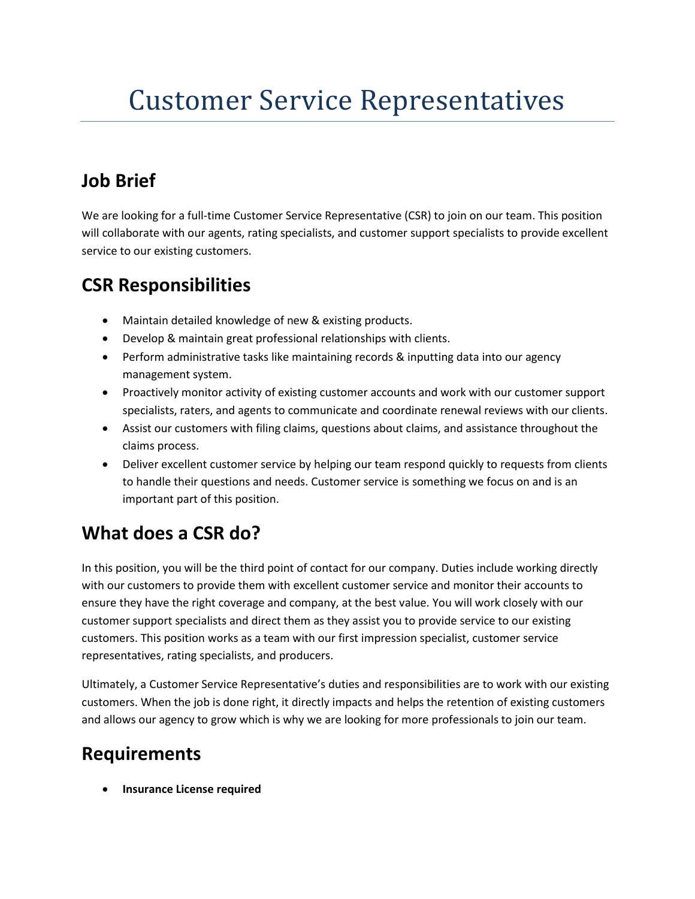# Customer Service Representatives

# **Job Brief**

We are looking for a full-time Customer Service Representative (CSR) to join on our team. This position will collaborate with our agents, rating specialists, and customer support specialists to provide excellent service to our existing customers.

### **CSR Responsibilities**

- Maintain detailed knowledge of new & existing products.
- Develop & maintain great professional relationships with clients.
- Perform administrative tasks like maintaining records & inputting data into our agency management system.
- Proactively monitor activity of existing customer accounts and work with our customer support specialists, raters, and agents to communicate and coordinate renewal reviews with our clients.
- Assist our customers with filing claims, questions about claims, and assistance throughout the claims process.
- Deliver excellent customer service by helping our team respond quickly to requests from clients to handle their questions and needs. Customer service is something we focus on and is an important part of this position.

# **What does a CSR do?**

In this position, you will be the third point of contact for our company. Duties include working directly with our customers to provide them with excellent customer service and monitor their accounts to ensure they have the right coverage and company, at the best value. You will work closely with our customer support specialists and direct them as they assist you to provide service to our existing customers. This position works as a team with our first impression specialist, customer service representatives, rating specialists, and producers.

Ultimately, a Customer Service Representative's duties and responsibilities are to work with our existing customers. When the job is done right, it directly impacts and helps the retention of existing customers and allows our agency to grow which is why we are looking for more professionals to join our team.

## **Requirements**

• **Insurance License required**